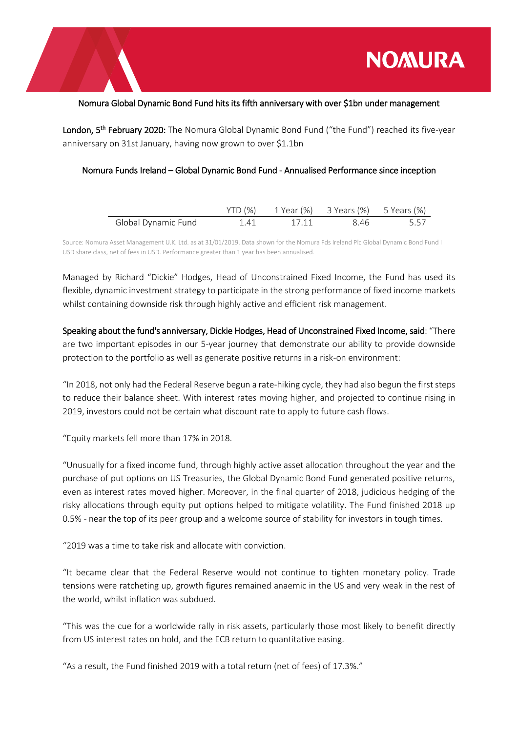

## Nomura Global Dynamic Bond Fund hits its fifth anniversary with over \$1bn under management

London, 5<sup>th</sup> February 2020: The Nomura Global Dynamic Bond Fund ("the Fund") reached its five-year anniversary on 31st January, having now grown to over \$1.1bn

## Nomura Funds Ireland – Global Dynamic Bond Fund - Annualised Performance since inception

|                     |     |       | YTD (%) 1 Year (%) 3 Years (%) 5 Years (%) |      |
|---------------------|-----|-------|--------------------------------------------|------|
| Global Dynamic Fund | 141 | 17 11 | 846                                        | 5.57 |

Source: Nomura Asset Management U.K. Ltd. as at 31/01/2019. Data shown for the Nomura Fds Ireland Plc Global Dynamic Bond Fund I USD share class, net of fees in USD. Performance greater than 1 year has been annualised.

Managed by Richard "Dickie" Hodges, Head of Unconstrained Fixed Income, the Fund has used its flexible, dynamic investment strategy to participate in the strong performance of fixed income markets whilst containing downside risk through highly active and efficient risk management.

Speaking about the fund's anniversary, Dickie Hodges, Head of Unconstrained Fixed Income, said: "There are two important episodes in our 5-year journey that demonstrate our ability to provide downside protection to the portfolio as well as generate positive returns in a risk-on environment:

"In 2018, not only had the Federal Reserve begun a rate-hiking cycle, they had also begun the first steps to reduce their balance sheet. With interest rates moving higher, and projected to continue rising in 2019, investors could not be certain what discount rate to apply to future cash flows.

"Equity markets fell more than 17% in 2018.

"Unusually for a fixed income fund, through highly active asset allocation throughout the year and the purchase of put options on US Treasuries, the Global Dynamic Bond Fund generated positive returns, even as interest rates moved higher. Moreover, in the final quarter of 2018, judicious hedging of the risky allocations through equity put options helped to mitigate volatility. The Fund finished 2018 up 0.5% - near the top of its peer group and a welcome source of stability for investors in tough times.

"2019 was a time to take risk and allocate with conviction.

"It became clear that the Federal Reserve would not continue to tighten monetary policy. Trade tensions were ratcheting up, growth figures remained anaemic in the US and very weak in the rest of the world, whilst inflation was subdued.

"This was the cue for a worldwide rally in risk assets, particularly those most likely to benefit directly from US interest rates on hold, and the ECB return to quantitative easing.

"As a result, the Fund finished 2019 with a total return (net of fees) of 17.3%."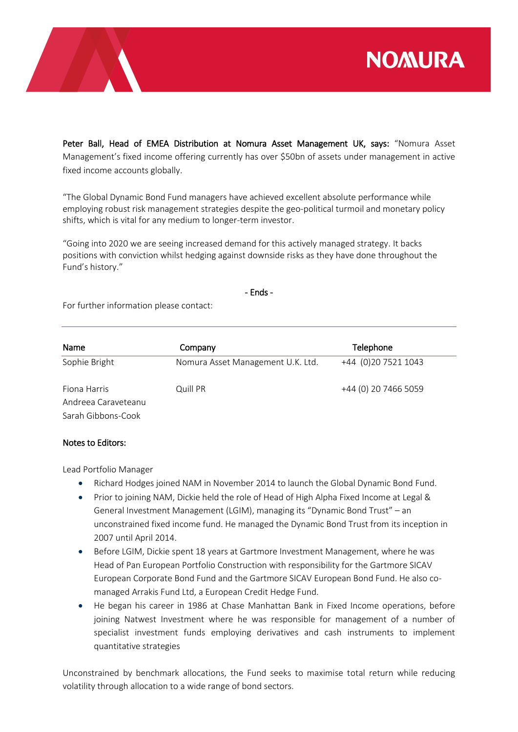

Peter Ball, Head of EMEA Distribution at Nomura Asset Management UK, says: "Nomura Asset Management's fixed income offering currently has over \$50bn of assets under management in active fixed income accounts globally.

"The Global Dynamic Bond Fund managers have achieved excellent absolute performance while employing robust risk management strategies despite the geo-political turmoil and monetary policy shifts, which is vital for any medium to longer-term investor.

"Going into 2020 we are seeing increased demand for this actively managed strategy. It backs positions with conviction whilst hedging against downside risks as they have done throughout the Fund's history."

- Ends -

For further information please contact:

| Name                | Company                           | Telephone            |
|---------------------|-----------------------------------|----------------------|
| Sophie Bright       | Nomura Asset Management U.K. Ltd. | +44 (0)20 7521 1043  |
| Fiona Harris        | Quill PR                          | +44 (0) 20 7466 5059 |
| Andreea Caraveteanu |                                   |                      |
| Sarah Gibbons-Cook  |                                   |                      |

## Notes to Editors:

Lead Portfolio Manager

- Richard Hodges joined NAM in November 2014 to launch the Global Dynamic Bond Fund.
- Prior to joining NAM, Dickie held the role of Head of High Alpha Fixed Income at Legal & General Investment Management (LGIM), managing its "Dynamic Bond Trust" – an unconstrained fixed income fund. He managed the Dynamic Bond Trust from its inception in 2007 until April 2014.
- Before LGIM, Dickie spent 18 years at Gartmore Investment Management, where he was Head of Pan European Portfolio Construction with responsibility for the Gartmore SICAV European Corporate Bond Fund and the Gartmore SICAV European Bond Fund. He also comanaged Arrakis Fund Ltd, a European Credit Hedge Fund.
- He began his career in 1986 at Chase Manhattan Bank in Fixed Income operations, before joining Natwest Investment where he was responsible for management of a number of specialist investment funds employing derivatives and cash instruments to implement quantitative strategies

Unconstrained by benchmark allocations, the Fund seeks to maximise total return while reducing volatility through allocation to a wide range of bond sectors.